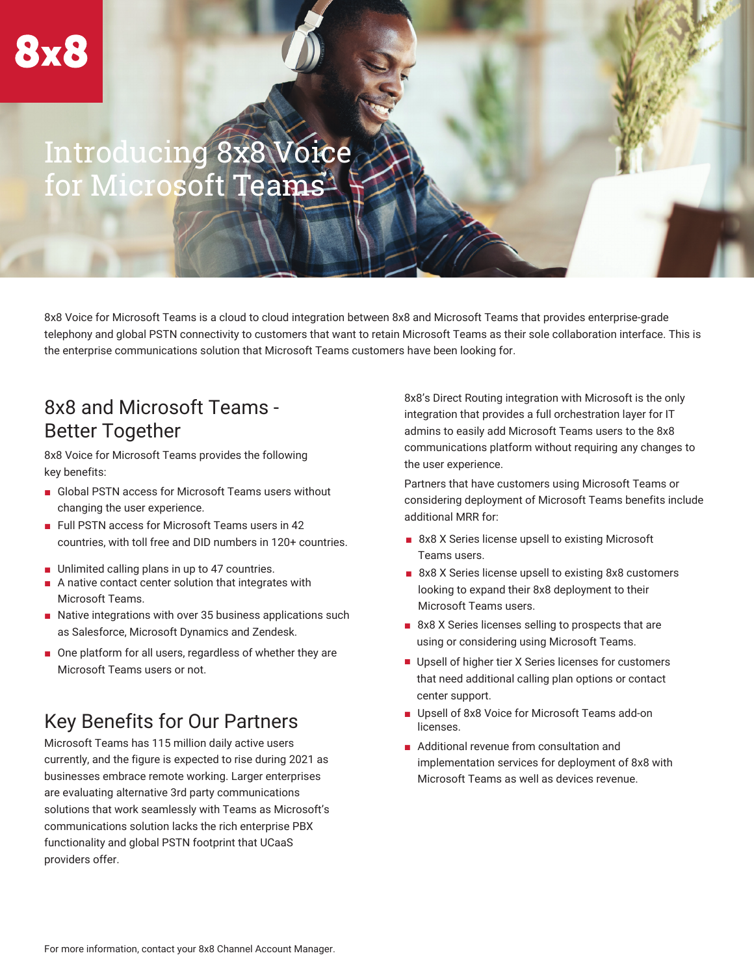# Introducing 8x8 Voice for Microsoft Teams

8x8 Voice for Microsoft Teams is a cloud to cloud integration between 8x8 and Microsoft Teams that provides enterprise-grade telephony and global PSTN connectivity to customers that want to retain Microsoft Teams as their sole collaboration interface. This is the enterprise communications solution that Microsoft Teams customers have been looking for.

#### 8x8 and Microsoft Teams - Better Together

8x8 Voice for Microsoft Teams provides the following key benefits:

- Global PSTN access for Microsoft Teams users without changing the user experience.
- Full PSTN access for Microsoft Teams users in 42 countries, with toll free and DID numbers in 120+ countries.
- Unlimited calling plans in up to 47 countries.
- A native contact center solution that integrates with Microsoft Teams.
- Native integrations with over 35 business applications such as Salesforce, Microsoft Dynamics and Zendesk.
- One platform for all users, regardless of whether they are Microsoft Teams users or not.

## Key Benefits for Our Partners

Microsoft Teams has 115 million daily active users currently, and the figure is expected to rise during 2021 as businesses embrace remote working. Larger enterprises are evaluating alternative 3rd party communications solutions that work seamlessly with Teams as Microsoft's communications solution lacks the rich enterprise PBX functionality and global PSTN footprint that UCaaS providers offer.

8x8's Direct Routing integration with Microsoft is the only integration that provides a full orchestration layer for IT admins to easily add Microsoft Teams users to the 8x8 communications platform without requiring any changes to the user experience.

Partners that have customers using Microsoft Teams or considering deployment of Microsoft Teams benefits include additional MRR for:

- 8x8 X Series license upsell to existing Microsoft Teams users.
- 8x8 X Series license upsell to existing 8x8 customers looking to expand their 8x8 deployment to their Microsoft Teams users.
- 8x8 X Series licenses selling to prospects that are using or considering using Microsoft Teams.
- Upsell of higher tier X Series licenses for customers that need additional calling plan options or contact center support.
- Upsell of 8x8 Voice for Microsoft Teams add-on licenses.
- Additional revenue from consultation and implementation services for deployment of 8x8 with Microsoft Teams as well as devices revenue.